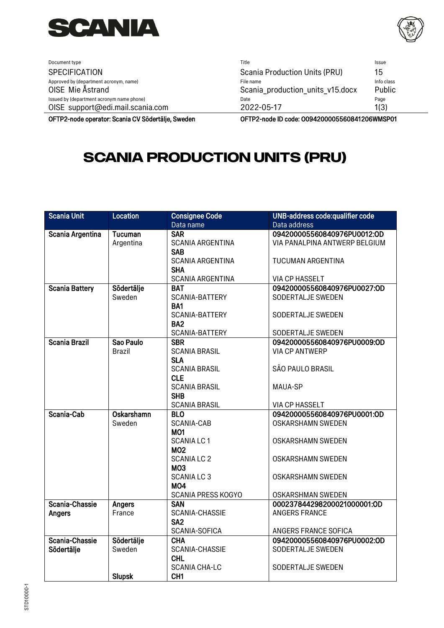

<span id="page-0-0"></span>

| Document type                                              | Title                                         | Issue                |
|------------------------------------------------------------|-----------------------------------------------|----------------------|
| <b>SPECIFICATION</b>                                       | <b>Scania Production Units (PRU)</b>          | 15                   |
| Approved by (department acronym, name)<br>OISE Mie Åstrand | File name<br>Scania production units v15.docx | Info class<br>Public |
| Issued by (department acronym name phone)                  | Date                                          | Page                 |
| OISE support@edi.mail.scania.com                           | 2022-05-17                                    | 1(3)                 |

OFTP2-node operator: Scania CV Södertälje, Sweden OFTP2-node ID code: 0094200005560841206WMSP01

## **[Scania Production Units \(PRU\)](#page-0-0)**

| <b>Scania Unit</b>    | <b>Location</b> | <b>Consignee Code</b>     | <b>UNB-address code:qualifier code</b> |
|-----------------------|-----------------|---------------------------|----------------------------------------|
|                       |                 | Data name                 | Data address                           |
| Scania Argentina      | <b>Tucuman</b>  | <b>SAR</b>                | 094200005560840976PU0012:OD            |
|                       | Argentina       | <b>SCANIA ARGENTINA</b>   | VIA PANALPINA ANTWERP BELGIUM          |
|                       |                 | <b>SAB</b>                |                                        |
|                       |                 | <b>SCANIA ARGENTINA</b>   | TUCUMAN ARGENTINA                      |
|                       |                 | <b>SHA</b>                |                                        |
|                       |                 | <b>SCANIA ARGENTINA</b>   | <b>VIA CP HASSELT</b>                  |
| <b>Scania Battery</b> | Södertälje      | <b>BAT</b>                | 094200005560840976PU0027:OD            |
|                       | Sweden          | SCANIA-BATTERY            | SODERTALJE SWEDEN                      |
|                       |                 | BA1                       |                                        |
|                       |                 | SCANIA-BATTERY            | SODERTALJE SWEDEN                      |
|                       |                 | BA <sub>2</sub>           |                                        |
|                       |                 | SCANIA-BATTERY            | SODERTALJE SWEDEN                      |
| Scania Brazil         | Sao Paulo       | <b>SBR</b>                | 094200005560840976PU0009:OD            |
|                       | <b>Brazil</b>   | <b>SCANIA BRASIL</b>      | <b>VIA CP ANTWERP</b>                  |
|                       |                 | <b>SLA</b>                |                                        |
|                       |                 | <b>SCANIA BRASIL</b>      | SÃO PAULO BRASIL                       |
|                       |                 | <b>CLE</b>                |                                        |
|                       |                 | <b>SCANIA BRASIL</b>      | <b>MAUA-SP</b>                         |
|                       |                 | <b>SHB</b>                |                                        |
|                       |                 | <b>SCANIA BRASIL</b>      | <b>VIA CP HASSELT</b>                  |
| Scania-Cab            | Oskarshamn      | <b>BLO</b>                | 094200005560840976PU0001:OD            |
|                       | Sweden          | SCANIA-CAB                | <b>OSKARSHAMN SWEDEN</b>               |
|                       |                 | <b>MO1</b>                |                                        |
|                       |                 | <b>SCANIA LC1</b>         | <b>OSKARSHAMN SWEDEN</b>               |
|                       |                 | <b>MO2</b>                |                                        |
|                       |                 | <b>SCANIA LC 2</b>        | <b>OSKARSHAMN SWEDEN</b>               |
|                       |                 | MO <sub>3</sub>           |                                        |
|                       |                 | <b>SCANIA LC 3</b>        | <b>OSKARSHAMN SWEDEN</b>               |
|                       |                 | MO <sub>4</sub>           |                                        |
|                       |                 | <b>SCANIA PRESS KOGYO</b> | <b>OSKARSHMAN SWEDEN</b>               |
| Scania-Chassie        | Angers          | <b>SAN</b>                | 000237844298200021000001:OD            |
| Angers                | France          | SCANIA-CHASSIE            | <b>ANGERS FRANCE</b>                   |
|                       |                 | SA <sub>2</sub>           |                                        |
|                       |                 | SCANIA-SOFICA             | ANGERS FRANCE SOFICA                   |
| Scania-Chassie        | Södertälje      | <b>CHA</b>                | 094200005560840976PU0002:OD            |
| Södertälje            | Sweden          | SCANIA-CHASSIE            | SODERTALJE SWEDEN                      |
|                       |                 | <b>CHL</b>                |                                        |
|                       |                 | <b>SCANIA CHA-LC</b>      | SODERTALJE SWEDEN                      |
|                       | <b>Slupsk</b>   | CH <sub>1</sub>           |                                        |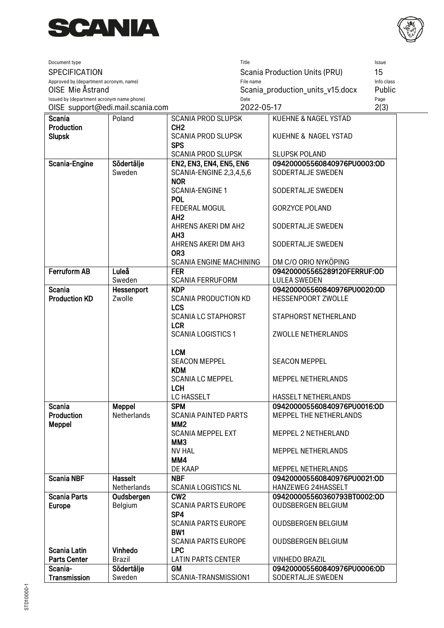



| 15<br>SPECIFICATION<br>Scania Production Units (PRU)<br>File name<br>Info class<br>Approved by (department acronym, name)<br>OISE Mie Åstrand<br>Scania production units v15.docx<br>Public<br>Issued by (department acronym name phone)<br>Page<br>Date<br>2022-05-17<br>2(3)<br>OISE support@edi.mail.scania.com<br><b>Scania</b><br>Poland<br><b>SCANIA PROD SLUPSK</b><br>KUEHNE & NAGEL YSTAD<br><b>Production</b><br>CH <sub>2</sub><br><b>Slupsk</b><br><b>SCANIA PROD SLUPSK</b><br>KUEHNE & NAGEL YSTAD<br><b>SPS</b><br><b>SCANIA PROD SLUPSK</b><br><b>SLUPSK POLAND</b><br>Södertälje<br><b>EN2, EN3, EN4, EN5, EN6</b><br>094200005560840976PU0003:OD<br>Scania-Engine<br>Sweden<br>SCANIA-ENGINE 2,3,4,5,6<br>SODERTALJE SWEDEN<br><b>NOR</b><br><b>SCANIA-ENGINE 1</b><br>SODERTALJE SWEDEN<br><b>POL</b><br><b>FEDERAL MOGUL</b><br><b>GORZYCE POLAND</b><br>AH <sub>2</sub><br>AHRENS AKERI DM AH2<br>SODERTALJE SWEDEN<br>AH <sub>3</sub><br>SODERTALJE SWEDEN<br>AHRENS AKERI DM AH3<br>OR <sub>3</sub><br>DM C/O ORIO NYKÖPING<br><b>SCANIA ENGINE MACHINING</b><br><b>Ferruform AB</b><br>094200005565289120FERRUF:OD<br>Luleå<br><b>FER</b><br>Sweden<br><b>SCANIA FERRUFORM</b><br><b>LULEA SWEDEN</b><br><b>Scania</b><br><b>KDP</b><br>094200005560840976PU0020:OD<br>Hessenport<br><b>Production KD</b><br>Zwolle<br><b>SCANIA PRODUCTION KD</b><br>HESSENPOORT ZWOLLE<br><b>LCS</b><br><b>SCANIA LC STAPHORST</b><br>STAPHORST NETHERLAND<br><b>LCR</b><br><b>SCANIA LOGISTICS 1</b><br>ZWOLLE NETHERLANDS<br><b>LCM</b><br><b>SEACON MEPPEL</b><br><b>SEACON MEPPEL</b><br><b>KDM</b><br><b>SCANIA LC MEPPEL</b><br>MEPPEL NETHERLANDS<br><b>LCH</b><br>LC HASSELT<br>HASSELT NETHERLANDS<br>Meppel<br><b>SPM</b><br>094200005560840976PU0016:OD<br><b>Scania</b><br>Netherlands<br><b>Production</b><br><b>MEPPEL THE NETHERLANDS</b><br><b>SCANIA PAINTED PARTS</b><br>MM <sub>2</sub><br><b>Meppel</b><br><b>SCANIA MEPPEL EXT</b><br>MEPPEL 2 NETHERLAND<br><b>MM3</b><br><b>NV HAL</b><br>MEPPEL NETHERLANDS<br>MM4<br>DE KAAP<br>MEPPEL NETHERLANDS<br><b>Scania NBF</b><br><b>Hasselt</b><br><b>NBF</b><br>094200005560840976PU0021:OD<br>Netherlands<br><b>SCANIA LOGISTICS NL</b><br>HANZEWEG 24HASSELT<br>CW <sub>2</sub><br><b>Scania Parts</b><br>094200005560360793BT0002:OD<br>Oudsbergen<br>Europe<br>Belgium<br><b>OUDSBERGEN BELGIUM</b><br><b>SCANIA PARTS EUROPE</b><br>SP4<br><b>SCANIA PARTS EUROPE</b><br><b>OUDSBERGEN BELGIUM</b><br>BW1<br><b>SCANIA PARTS EUROPE</b><br><b>OUDSBERGEN BELGIUM</b><br>Vinhedo<br><b>LPC</b><br>Scania Latin<br><b>Parts Center</b><br><b>Brazil</b><br><b>LATIN PARTS CENTER</b><br><b>VINHEDO BRAZIL</b><br>Scania-<br>Södertälje<br><b>GM</b><br>094200005560840976PU0006:OD | Document type       |        |                      | Title |                   | Issue |
|---------------------------------------------------------------------------------------------------------------------------------------------------------------------------------------------------------------------------------------------------------------------------------------------------------------------------------------------------------------------------------------------------------------------------------------------------------------------------------------------------------------------------------------------------------------------------------------------------------------------------------------------------------------------------------------------------------------------------------------------------------------------------------------------------------------------------------------------------------------------------------------------------------------------------------------------------------------------------------------------------------------------------------------------------------------------------------------------------------------------------------------------------------------------------------------------------------------------------------------------------------------------------------------------------------------------------------------------------------------------------------------------------------------------------------------------------------------------------------------------------------------------------------------------------------------------------------------------------------------------------------------------------------------------------------------------------------------------------------------------------------------------------------------------------------------------------------------------------------------------------------------------------------------------------------------------------------------------------------------------------------------------------------------------------------------------------------------------------------------------------------------------------------------------------------------------------------------------------------------------------------------------------------------------------------------------------------------------------------------------------------------------------------------------------------------------------------------------------------------------------------------------------------------------------------------------------------------------------------------------------------------------------------------------------------------------------------------------------------------------------------------------|---------------------|--------|----------------------|-------|-------------------|-------|
|                                                                                                                                                                                                                                                                                                                                                                                                                                                                                                                                                                                                                                                                                                                                                                                                                                                                                                                                                                                                                                                                                                                                                                                                                                                                                                                                                                                                                                                                                                                                                                                                                                                                                                                                                                                                                                                                                                                                                                                                                                                                                                                                                                                                                                                                                                                                                                                                                                                                                                                                                                                                                                                                                                                                                                     |                     |        |                      |       |                   |       |
|                                                                                                                                                                                                                                                                                                                                                                                                                                                                                                                                                                                                                                                                                                                                                                                                                                                                                                                                                                                                                                                                                                                                                                                                                                                                                                                                                                                                                                                                                                                                                                                                                                                                                                                                                                                                                                                                                                                                                                                                                                                                                                                                                                                                                                                                                                                                                                                                                                                                                                                                                                                                                                                                                                                                                                     |                     |        |                      |       |                   |       |
|                                                                                                                                                                                                                                                                                                                                                                                                                                                                                                                                                                                                                                                                                                                                                                                                                                                                                                                                                                                                                                                                                                                                                                                                                                                                                                                                                                                                                                                                                                                                                                                                                                                                                                                                                                                                                                                                                                                                                                                                                                                                                                                                                                                                                                                                                                                                                                                                                                                                                                                                                                                                                                                                                                                                                                     |                     |        |                      |       |                   |       |
|                                                                                                                                                                                                                                                                                                                                                                                                                                                                                                                                                                                                                                                                                                                                                                                                                                                                                                                                                                                                                                                                                                                                                                                                                                                                                                                                                                                                                                                                                                                                                                                                                                                                                                                                                                                                                                                                                                                                                                                                                                                                                                                                                                                                                                                                                                                                                                                                                                                                                                                                                                                                                                                                                                                                                                     |                     |        |                      |       |                   |       |
|                                                                                                                                                                                                                                                                                                                                                                                                                                                                                                                                                                                                                                                                                                                                                                                                                                                                                                                                                                                                                                                                                                                                                                                                                                                                                                                                                                                                                                                                                                                                                                                                                                                                                                                                                                                                                                                                                                                                                                                                                                                                                                                                                                                                                                                                                                                                                                                                                                                                                                                                                                                                                                                                                                                                                                     |                     |        |                      |       |                   |       |
|                                                                                                                                                                                                                                                                                                                                                                                                                                                                                                                                                                                                                                                                                                                                                                                                                                                                                                                                                                                                                                                                                                                                                                                                                                                                                                                                                                                                                                                                                                                                                                                                                                                                                                                                                                                                                                                                                                                                                                                                                                                                                                                                                                                                                                                                                                                                                                                                                                                                                                                                                                                                                                                                                                                                                                     |                     |        |                      |       |                   |       |
|                                                                                                                                                                                                                                                                                                                                                                                                                                                                                                                                                                                                                                                                                                                                                                                                                                                                                                                                                                                                                                                                                                                                                                                                                                                                                                                                                                                                                                                                                                                                                                                                                                                                                                                                                                                                                                                                                                                                                                                                                                                                                                                                                                                                                                                                                                                                                                                                                                                                                                                                                                                                                                                                                                                                                                     |                     |        |                      |       |                   |       |
|                                                                                                                                                                                                                                                                                                                                                                                                                                                                                                                                                                                                                                                                                                                                                                                                                                                                                                                                                                                                                                                                                                                                                                                                                                                                                                                                                                                                                                                                                                                                                                                                                                                                                                                                                                                                                                                                                                                                                                                                                                                                                                                                                                                                                                                                                                                                                                                                                                                                                                                                                                                                                                                                                                                                                                     |                     |        |                      |       |                   |       |
|                                                                                                                                                                                                                                                                                                                                                                                                                                                                                                                                                                                                                                                                                                                                                                                                                                                                                                                                                                                                                                                                                                                                                                                                                                                                                                                                                                                                                                                                                                                                                                                                                                                                                                                                                                                                                                                                                                                                                                                                                                                                                                                                                                                                                                                                                                                                                                                                                                                                                                                                                                                                                                                                                                                                                                     |                     |        |                      |       |                   |       |
|                                                                                                                                                                                                                                                                                                                                                                                                                                                                                                                                                                                                                                                                                                                                                                                                                                                                                                                                                                                                                                                                                                                                                                                                                                                                                                                                                                                                                                                                                                                                                                                                                                                                                                                                                                                                                                                                                                                                                                                                                                                                                                                                                                                                                                                                                                                                                                                                                                                                                                                                                                                                                                                                                                                                                                     |                     |        |                      |       |                   |       |
|                                                                                                                                                                                                                                                                                                                                                                                                                                                                                                                                                                                                                                                                                                                                                                                                                                                                                                                                                                                                                                                                                                                                                                                                                                                                                                                                                                                                                                                                                                                                                                                                                                                                                                                                                                                                                                                                                                                                                                                                                                                                                                                                                                                                                                                                                                                                                                                                                                                                                                                                                                                                                                                                                                                                                                     |                     |        |                      |       |                   |       |
|                                                                                                                                                                                                                                                                                                                                                                                                                                                                                                                                                                                                                                                                                                                                                                                                                                                                                                                                                                                                                                                                                                                                                                                                                                                                                                                                                                                                                                                                                                                                                                                                                                                                                                                                                                                                                                                                                                                                                                                                                                                                                                                                                                                                                                                                                                                                                                                                                                                                                                                                                                                                                                                                                                                                                                     |                     |        |                      |       |                   |       |
|                                                                                                                                                                                                                                                                                                                                                                                                                                                                                                                                                                                                                                                                                                                                                                                                                                                                                                                                                                                                                                                                                                                                                                                                                                                                                                                                                                                                                                                                                                                                                                                                                                                                                                                                                                                                                                                                                                                                                                                                                                                                                                                                                                                                                                                                                                                                                                                                                                                                                                                                                                                                                                                                                                                                                                     |                     |        |                      |       |                   |       |
|                                                                                                                                                                                                                                                                                                                                                                                                                                                                                                                                                                                                                                                                                                                                                                                                                                                                                                                                                                                                                                                                                                                                                                                                                                                                                                                                                                                                                                                                                                                                                                                                                                                                                                                                                                                                                                                                                                                                                                                                                                                                                                                                                                                                                                                                                                                                                                                                                                                                                                                                                                                                                                                                                                                                                                     |                     |        |                      |       |                   |       |
|                                                                                                                                                                                                                                                                                                                                                                                                                                                                                                                                                                                                                                                                                                                                                                                                                                                                                                                                                                                                                                                                                                                                                                                                                                                                                                                                                                                                                                                                                                                                                                                                                                                                                                                                                                                                                                                                                                                                                                                                                                                                                                                                                                                                                                                                                                                                                                                                                                                                                                                                                                                                                                                                                                                                                                     |                     |        |                      |       |                   |       |
|                                                                                                                                                                                                                                                                                                                                                                                                                                                                                                                                                                                                                                                                                                                                                                                                                                                                                                                                                                                                                                                                                                                                                                                                                                                                                                                                                                                                                                                                                                                                                                                                                                                                                                                                                                                                                                                                                                                                                                                                                                                                                                                                                                                                                                                                                                                                                                                                                                                                                                                                                                                                                                                                                                                                                                     |                     |        |                      |       |                   |       |
|                                                                                                                                                                                                                                                                                                                                                                                                                                                                                                                                                                                                                                                                                                                                                                                                                                                                                                                                                                                                                                                                                                                                                                                                                                                                                                                                                                                                                                                                                                                                                                                                                                                                                                                                                                                                                                                                                                                                                                                                                                                                                                                                                                                                                                                                                                                                                                                                                                                                                                                                                                                                                                                                                                                                                                     |                     |        |                      |       |                   |       |
|                                                                                                                                                                                                                                                                                                                                                                                                                                                                                                                                                                                                                                                                                                                                                                                                                                                                                                                                                                                                                                                                                                                                                                                                                                                                                                                                                                                                                                                                                                                                                                                                                                                                                                                                                                                                                                                                                                                                                                                                                                                                                                                                                                                                                                                                                                                                                                                                                                                                                                                                                                                                                                                                                                                                                                     |                     |        |                      |       |                   |       |
|                                                                                                                                                                                                                                                                                                                                                                                                                                                                                                                                                                                                                                                                                                                                                                                                                                                                                                                                                                                                                                                                                                                                                                                                                                                                                                                                                                                                                                                                                                                                                                                                                                                                                                                                                                                                                                                                                                                                                                                                                                                                                                                                                                                                                                                                                                                                                                                                                                                                                                                                                                                                                                                                                                                                                                     |                     |        |                      |       |                   |       |
|                                                                                                                                                                                                                                                                                                                                                                                                                                                                                                                                                                                                                                                                                                                                                                                                                                                                                                                                                                                                                                                                                                                                                                                                                                                                                                                                                                                                                                                                                                                                                                                                                                                                                                                                                                                                                                                                                                                                                                                                                                                                                                                                                                                                                                                                                                                                                                                                                                                                                                                                                                                                                                                                                                                                                                     |                     |        |                      |       |                   |       |
|                                                                                                                                                                                                                                                                                                                                                                                                                                                                                                                                                                                                                                                                                                                                                                                                                                                                                                                                                                                                                                                                                                                                                                                                                                                                                                                                                                                                                                                                                                                                                                                                                                                                                                                                                                                                                                                                                                                                                                                                                                                                                                                                                                                                                                                                                                                                                                                                                                                                                                                                                                                                                                                                                                                                                                     |                     |        |                      |       |                   |       |
|                                                                                                                                                                                                                                                                                                                                                                                                                                                                                                                                                                                                                                                                                                                                                                                                                                                                                                                                                                                                                                                                                                                                                                                                                                                                                                                                                                                                                                                                                                                                                                                                                                                                                                                                                                                                                                                                                                                                                                                                                                                                                                                                                                                                                                                                                                                                                                                                                                                                                                                                                                                                                                                                                                                                                                     |                     |        |                      |       |                   |       |
|                                                                                                                                                                                                                                                                                                                                                                                                                                                                                                                                                                                                                                                                                                                                                                                                                                                                                                                                                                                                                                                                                                                                                                                                                                                                                                                                                                                                                                                                                                                                                                                                                                                                                                                                                                                                                                                                                                                                                                                                                                                                                                                                                                                                                                                                                                                                                                                                                                                                                                                                                                                                                                                                                                                                                                     |                     |        |                      |       |                   |       |
|                                                                                                                                                                                                                                                                                                                                                                                                                                                                                                                                                                                                                                                                                                                                                                                                                                                                                                                                                                                                                                                                                                                                                                                                                                                                                                                                                                                                                                                                                                                                                                                                                                                                                                                                                                                                                                                                                                                                                                                                                                                                                                                                                                                                                                                                                                                                                                                                                                                                                                                                                                                                                                                                                                                                                                     |                     |        |                      |       |                   |       |
|                                                                                                                                                                                                                                                                                                                                                                                                                                                                                                                                                                                                                                                                                                                                                                                                                                                                                                                                                                                                                                                                                                                                                                                                                                                                                                                                                                                                                                                                                                                                                                                                                                                                                                                                                                                                                                                                                                                                                                                                                                                                                                                                                                                                                                                                                                                                                                                                                                                                                                                                                                                                                                                                                                                                                                     |                     |        |                      |       |                   |       |
|                                                                                                                                                                                                                                                                                                                                                                                                                                                                                                                                                                                                                                                                                                                                                                                                                                                                                                                                                                                                                                                                                                                                                                                                                                                                                                                                                                                                                                                                                                                                                                                                                                                                                                                                                                                                                                                                                                                                                                                                                                                                                                                                                                                                                                                                                                                                                                                                                                                                                                                                                                                                                                                                                                                                                                     |                     |        |                      |       |                   |       |
|                                                                                                                                                                                                                                                                                                                                                                                                                                                                                                                                                                                                                                                                                                                                                                                                                                                                                                                                                                                                                                                                                                                                                                                                                                                                                                                                                                                                                                                                                                                                                                                                                                                                                                                                                                                                                                                                                                                                                                                                                                                                                                                                                                                                                                                                                                                                                                                                                                                                                                                                                                                                                                                                                                                                                                     |                     |        |                      |       |                   |       |
|                                                                                                                                                                                                                                                                                                                                                                                                                                                                                                                                                                                                                                                                                                                                                                                                                                                                                                                                                                                                                                                                                                                                                                                                                                                                                                                                                                                                                                                                                                                                                                                                                                                                                                                                                                                                                                                                                                                                                                                                                                                                                                                                                                                                                                                                                                                                                                                                                                                                                                                                                                                                                                                                                                                                                                     |                     |        |                      |       |                   |       |
|                                                                                                                                                                                                                                                                                                                                                                                                                                                                                                                                                                                                                                                                                                                                                                                                                                                                                                                                                                                                                                                                                                                                                                                                                                                                                                                                                                                                                                                                                                                                                                                                                                                                                                                                                                                                                                                                                                                                                                                                                                                                                                                                                                                                                                                                                                                                                                                                                                                                                                                                                                                                                                                                                                                                                                     |                     |        |                      |       |                   |       |
|                                                                                                                                                                                                                                                                                                                                                                                                                                                                                                                                                                                                                                                                                                                                                                                                                                                                                                                                                                                                                                                                                                                                                                                                                                                                                                                                                                                                                                                                                                                                                                                                                                                                                                                                                                                                                                                                                                                                                                                                                                                                                                                                                                                                                                                                                                                                                                                                                                                                                                                                                                                                                                                                                                                                                                     |                     |        |                      |       |                   |       |
|                                                                                                                                                                                                                                                                                                                                                                                                                                                                                                                                                                                                                                                                                                                                                                                                                                                                                                                                                                                                                                                                                                                                                                                                                                                                                                                                                                                                                                                                                                                                                                                                                                                                                                                                                                                                                                                                                                                                                                                                                                                                                                                                                                                                                                                                                                                                                                                                                                                                                                                                                                                                                                                                                                                                                                     |                     |        |                      |       |                   |       |
|                                                                                                                                                                                                                                                                                                                                                                                                                                                                                                                                                                                                                                                                                                                                                                                                                                                                                                                                                                                                                                                                                                                                                                                                                                                                                                                                                                                                                                                                                                                                                                                                                                                                                                                                                                                                                                                                                                                                                                                                                                                                                                                                                                                                                                                                                                                                                                                                                                                                                                                                                                                                                                                                                                                                                                     |                     |        |                      |       |                   |       |
|                                                                                                                                                                                                                                                                                                                                                                                                                                                                                                                                                                                                                                                                                                                                                                                                                                                                                                                                                                                                                                                                                                                                                                                                                                                                                                                                                                                                                                                                                                                                                                                                                                                                                                                                                                                                                                                                                                                                                                                                                                                                                                                                                                                                                                                                                                                                                                                                                                                                                                                                                                                                                                                                                                                                                                     |                     |        |                      |       |                   |       |
|                                                                                                                                                                                                                                                                                                                                                                                                                                                                                                                                                                                                                                                                                                                                                                                                                                                                                                                                                                                                                                                                                                                                                                                                                                                                                                                                                                                                                                                                                                                                                                                                                                                                                                                                                                                                                                                                                                                                                                                                                                                                                                                                                                                                                                                                                                                                                                                                                                                                                                                                                                                                                                                                                                                                                                     |                     |        |                      |       |                   |       |
|                                                                                                                                                                                                                                                                                                                                                                                                                                                                                                                                                                                                                                                                                                                                                                                                                                                                                                                                                                                                                                                                                                                                                                                                                                                                                                                                                                                                                                                                                                                                                                                                                                                                                                                                                                                                                                                                                                                                                                                                                                                                                                                                                                                                                                                                                                                                                                                                                                                                                                                                                                                                                                                                                                                                                                     |                     |        |                      |       |                   |       |
|                                                                                                                                                                                                                                                                                                                                                                                                                                                                                                                                                                                                                                                                                                                                                                                                                                                                                                                                                                                                                                                                                                                                                                                                                                                                                                                                                                                                                                                                                                                                                                                                                                                                                                                                                                                                                                                                                                                                                                                                                                                                                                                                                                                                                                                                                                                                                                                                                                                                                                                                                                                                                                                                                                                                                                     |                     |        |                      |       |                   |       |
|                                                                                                                                                                                                                                                                                                                                                                                                                                                                                                                                                                                                                                                                                                                                                                                                                                                                                                                                                                                                                                                                                                                                                                                                                                                                                                                                                                                                                                                                                                                                                                                                                                                                                                                                                                                                                                                                                                                                                                                                                                                                                                                                                                                                                                                                                                                                                                                                                                                                                                                                                                                                                                                                                                                                                                     |                     |        |                      |       |                   |       |
|                                                                                                                                                                                                                                                                                                                                                                                                                                                                                                                                                                                                                                                                                                                                                                                                                                                                                                                                                                                                                                                                                                                                                                                                                                                                                                                                                                                                                                                                                                                                                                                                                                                                                                                                                                                                                                                                                                                                                                                                                                                                                                                                                                                                                                                                                                                                                                                                                                                                                                                                                                                                                                                                                                                                                                     |                     |        |                      |       |                   |       |
|                                                                                                                                                                                                                                                                                                                                                                                                                                                                                                                                                                                                                                                                                                                                                                                                                                                                                                                                                                                                                                                                                                                                                                                                                                                                                                                                                                                                                                                                                                                                                                                                                                                                                                                                                                                                                                                                                                                                                                                                                                                                                                                                                                                                                                                                                                                                                                                                                                                                                                                                                                                                                                                                                                                                                                     |                     |        |                      |       |                   |       |
|                                                                                                                                                                                                                                                                                                                                                                                                                                                                                                                                                                                                                                                                                                                                                                                                                                                                                                                                                                                                                                                                                                                                                                                                                                                                                                                                                                                                                                                                                                                                                                                                                                                                                                                                                                                                                                                                                                                                                                                                                                                                                                                                                                                                                                                                                                                                                                                                                                                                                                                                                                                                                                                                                                                                                                     |                     |        |                      |       |                   |       |
|                                                                                                                                                                                                                                                                                                                                                                                                                                                                                                                                                                                                                                                                                                                                                                                                                                                                                                                                                                                                                                                                                                                                                                                                                                                                                                                                                                                                                                                                                                                                                                                                                                                                                                                                                                                                                                                                                                                                                                                                                                                                                                                                                                                                                                                                                                                                                                                                                                                                                                                                                                                                                                                                                                                                                                     |                     |        |                      |       |                   |       |
|                                                                                                                                                                                                                                                                                                                                                                                                                                                                                                                                                                                                                                                                                                                                                                                                                                                                                                                                                                                                                                                                                                                                                                                                                                                                                                                                                                                                                                                                                                                                                                                                                                                                                                                                                                                                                                                                                                                                                                                                                                                                                                                                                                                                                                                                                                                                                                                                                                                                                                                                                                                                                                                                                                                                                                     |                     |        |                      |       |                   |       |
|                                                                                                                                                                                                                                                                                                                                                                                                                                                                                                                                                                                                                                                                                                                                                                                                                                                                                                                                                                                                                                                                                                                                                                                                                                                                                                                                                                                                                                                                                                                                                                                                                                                                                                                                                                                                                                                                                                                                                                                                                                                                                                                                                                                                                                                                                                                                                                                                                                                                                                                                                                                                                                                                                                                                                                     |                     |        |                      |       |                   |       |
|                                                                                                                                                                                                                                                                                                                                                                                                                                                                                                                                                                                                                                                                                                                                                                                                                                                                                                                                                                                                                                                                                                                                                                                                                                                                                                                                                                                                                                                                                                                                                                                                                                                                                                                                                                                                                                                                                                                                                                                                                                                                                                                                                                                                                                                                                                                                                                                                                                                                                                                                                                                                                                                                                                                                                                     |                     |        |                      |       |                   |       |
|                                                                                                                                                                                                                                                                                                                                                                                                                                                                                                                                                                                                                                                                                                                                                                                                                                                                                                                                                                                                                                                                                                                                                                                                                                                                                                                                                                                                                                                                                                                                                                                                                                                                                                                                                                                                                                                                                                                                                                                                                                                                                                                                                                                                                                                                                                                                                                                                                                                                                                                                                                                                                                                                                                                                                                     |                     |        |                      |       |                   |       |
|                                                                                                                                                                                                                                                                                                                                                                                                                                                                                                                                                                                                                                                                                                                                                                                                                                                                                                                                                                                                                                                                                                                                                                                                                                                                                                                                                                                                                                                                                                                                                                                                                                                                                                                                                                                                                                                                                                                                                                                                                                                                                                                                                                                                                                                                                                                                                                                                                                                                                                                                                                                                                                                                                                                                                                     |                     |        |                      |       |                   |       |
|                                                                                                                                                                                                                                                                                                                                                                                                                                                                                                                                                                                                                                                                                                                                                                                                                                                                                                                                                                                                                                                                                                                                                                                                                                                                                                                                                                                                                                                                                                                                                                                                                                                                                                                                                                                                                                                                                                                                                                                                                                                                                                                                                                                                                                                                                                                                                                                                                                                                                                                                                                                                                                                                                                                                                                     |                     |        |                      |       |                   |       |
|                                                                                                                                                                                                                                                                                                                                                                                                                                                                                                                                                                                                                                                                                                                                                                                                                                                                                                                                                                                                                                                                                                                                                                                                                                                                                                                                                                                                                                                                                                                                                                                                                                                                                                                                                                                                                                                                                                                                                                                                                                                                                                                                                                                                                                                                                                                                                                                                                                                                                                                                                                                                                                                                                                                                                                     |                     |        |                      |       |                   |       |
|                                                                                                                                                                                                                                                                                                                                                                                                                                                                                                                                                                                                                                                                                                                                                                                                                                                                                                                                                                                                                                                                                                                                                                                                                                                                                                                                                                                                                                                                                                                                                                                                                                                                                                                                                                                                                                                                                                                                                                                                                                                                                                                                                                                                                                                                                                                                                                                                                                                                                                                                                                                                                                                                                                                                                                     |                     |        |                      |       |                   |       |
|                                                                                                                                                                                                                                                                                                                                                                                                                                                                                                                                                                                                                                                                                                                                                                                                                                                                                                                                                                                                                                                                                                                                                                                                                                                                                                                                                                                                                                                                                                                                                                                                                                                                                                                                                                                                                                                                                                                                                                                                                                                                                                                                                                                                                                                                                                                                                                                                                                                                                                                                                                                                                                                                                                                                                                     |                     |        |                      |       |                   |       |
|                                                                                                                                                                                                                                                                                                                                                                                                                                                                                                                                                                                                                                                                                                                                                                                                                                                                                                                                                                                                                                                                                                                                                                                                                                                                                                                                                                                                                                                                                                                                                                                                                                                                                                                                                                                                                                                                                                                                                                                                                                                                                                                                                                                                                                                                                                                                                                                                                                                                                                                                                                                                                                                                                                                                                                     |                     |        |                      |       |                   |       |
|                                                                                                                                                                                                                                                                                                                                                                                                                                                                                                                                                                                                                                                                                                                                                                                                                                                                                                                                                                                                                                                                                                                                                                                                                                                                                                                                                                                                                                                                                                                                                                                                                                                                                                                                                                                                                                                                                                                                                                                                                                                                                                                                                                                                                                                                                                                                                                                                                                                                                                                                                                                                                                                                                                                                                                     |                     |        |                      |       |                   |       |
|                                                                                                                                                                                                                                                                                                                                                                                                                                                                                                                                                                                                                                                                                                                                                                                                                                                                                                                                                                                                                                                                                                                                                                                                                                                                                                                                                                                                                                                                                                                                                                                                                                                                                                                                                                                                                                                                                                                                                                                                                                                                                                                                                                                                                                                                                                                                                                                                                                                                                                                                                                                                                                                                                                                                                                     | <b>Transmission</b> | Sweden | SCANIA-TRANSMISSION1 |       | SODERTALJE SWEDEN |       |